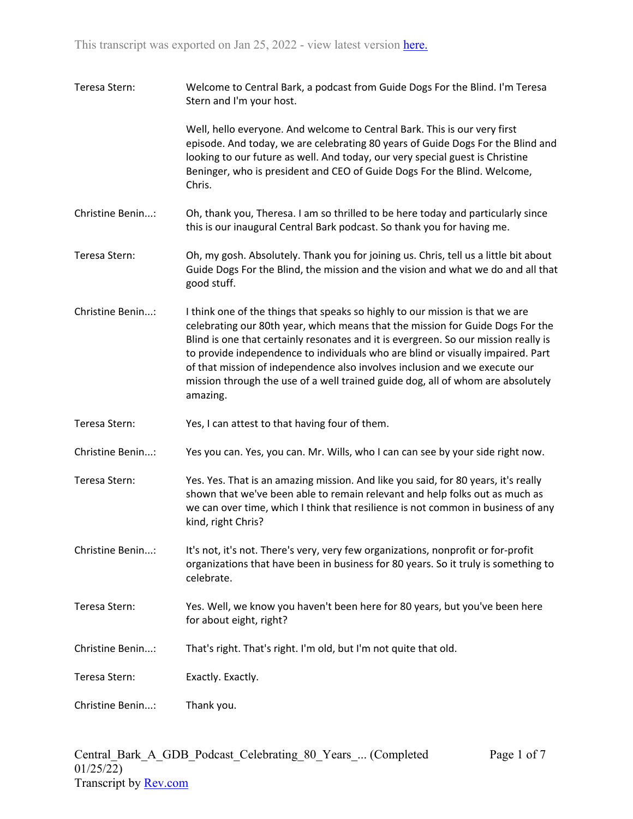| Teresa Stern:    | Welcome to Central Bark, a podcast from Guide Dogs For the Blind. I'm Teresa<br>Stern and I'm your host.                                                                                                                                                                                                                                                                                                                                                                                                               |
|------------------|------------------------------------------------------------------------------------------------------------------------------------------------------------------------------------------------------------------------------------------------------------------------------------------------------------------------------------------------------------------------------------------------------------------------------------------------------------------------------------------------------------------------|
|                  | Well, hello everyone. And welcome to Central Bark. This is our very first<br>episode. And today, we are celebrating 80 years of Guide Dogs For the Blind and<br>looking to our future as well. And today, our very special guest is Christine<br>Beninger, who is president and CEO of Guide Dogs For the Blind. Welcome,<br>Chris.                                                                                                                                                                                    |
| Christine Benin: | Oh, thank you, Theresa. I am so thrilled to be here today and particularly since<br>this is our inaugural Central Bark podcast. So thank you for having me.                                                                                                                                                                                                                                                                                                                                                            |
| Teresa Stern:    | Oh, my gosh. Absolutely. Thank you for joining us. Chris, tell us a little bit about<br>Guide Dogs For the Blind, the mission and the vision and what we do and all that<br>good stuff.                                                                                                                                                                                                                                                                                                                                |
| Christine Benin: | I think one of the things that speaks so highly to our mission is that we are<br>celebrating our 80th year, which means that the mission for Guide Dogs For the<br>Blind is one that certainly resonates and it is evergreen. So our mission really is<br>to provide independence to individuals who are blind or visually impaired. Part<br>of that mission of independence also involves inclusion and we execute our<br>mission through the use of a well trained guide dog, all of whom are absolutely<br>amazing. |
| Teresa Stern:    | Yes, I can attest to that having four of them.                                                                                                                                                                                                                                                                                                                                                                                                                                                                         |
| Christine Benin: | Yes you can. Yes, you can. Mr. Wills, who I can can see by your side right now.                                                                                                                                                                                                                                                                                                                                                                                                                                        |
| Teresa Stern:    | Yes. Yes. That is an amazing mission. And like you said, for 80 years, it's really<br>shown that we've been able to remain relevant and help folks out as much as<br>we can over time, which I think that resilience is not common in business of any<br>kind, right Chris?                                                                                                                                                                                                                                            |
| Christine Benin: | It's not, it's not. There's very, very few organizations, nonprofit or for-profit<br>organizations that have been in business for 80 years. So it truly is something to<br>celebrate.                                                                                                                                                                                                                                                                                                                                  |
| Teresa Stern:    | Yes. Well, we know you haven't been here for 80 years, but you've been here<br>for about eight, right?                                                                                                                                                                                                                                                                                                                                                                                                                 |
| Christine Benin: | That's right. That's right. I'm old, but I'm not quite that old.                                                                                                                                                                                                                                                                                                                                                                                                                                                       |
| Teresa Stern:    | Exactly. Exactly.                                                                                                                                                                                                                                                                                                                                                                                                                                                                                                      |
| Christine Benin: | Thank you.                                                                                                                                                                                                                                                                                                                                                                                                                                                                                                             |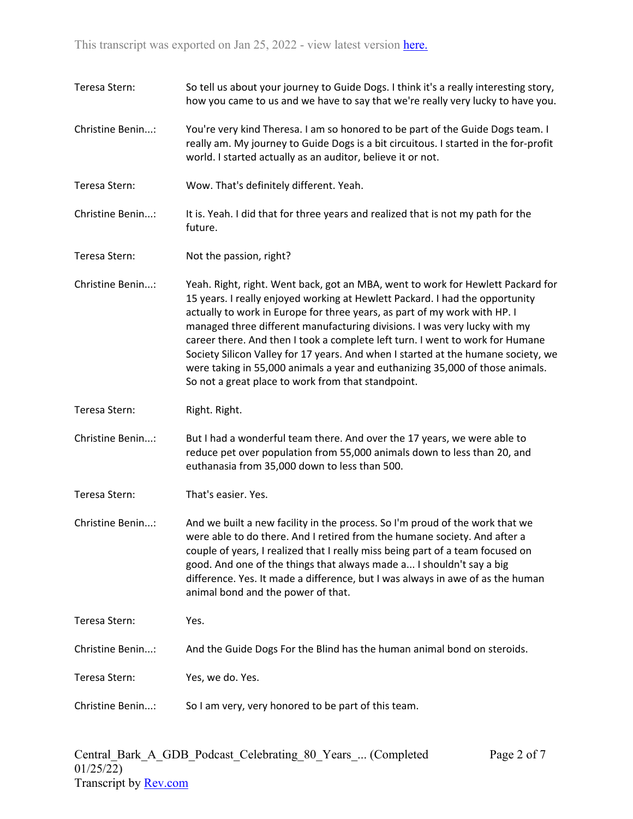| Teresa Stern:    | So tell us about your journey to Guide Dogs. I think it's a really interesting story,<br>how you came to us and we have to say that we're really very lucky to have you.                                                                                                                                                                                                                                                                                                                                                                                                                                                               |
|------------------|----------------------------------------------------------------------------------------------------------------------------------------------------------------------------------------------------------------------------------------------------------------------------------------------------------------------------------------------------------------------------------------------------------------------------------------------------------------------------------------------------------------------------------------------------------------------------------------------------------------------------------------|
| Christine Benin: | You're very kind Theresa. I am so honored to be part of the Guide Dogs team. I<br>really am. My journey to Guide Dogs is a bit circuitous. I started in the for-profit<br>world. I started actually as an auditor, believe it or not.                                                                                                                                                                                                                                                                                                                                                                                                  |
| Teresa Stern:    | Wow. That's definitely different. Yeah.                                                                                                                                                                                                                                                                                                                                                                                                                                                                                                                                                                                                |
| Christine Benin: | It is. Yeah. I did that for three years and realized that is not my path for the<br>future.                                                                                                                                                                                                                                                                                                                                                                                                                                                                                                                                            |
| Teresa Stern:    | Not the passion, right?                                                                                                                                                                                                                                                                                                                                                                                                                                                                                                                                                                                                                |
| Christine Benin: | Yeah. Right, right. Went back, got an MBA, went to work for Hewlett Packard for<br>15 years. I really enjoyed working at Hewlett Packard. I had the opportunity<br>actually to work in Europe for three years, as part of my work with HP. I<br>managed three different manufacturing divisions. I was very lucky with my<br>career there. And then I took a complete left turn. I went to work for Humane<br>Society Silicon Valley for 17 years. And when I started at the humane society, we<br>were taking in 55,000 animals a year and euthanizing 35,000 of those animals.<br>So not a great place to work from that standpoint. |
| Teresa Stern:    | Right. Right.                                                                                                                                                                                                                                                                                                                                                                                                                                                                                                                                                                                                                          |
| Christine Benin: | But I had a wonderful team there. And over the 17 years, we were able to<br>reduce pet over population from 55,000 animals down to less than 20, and<br>euthanasia from 35,000 down to less than 500.                                                                                                                                                                                                                                                                                                                                                                                                                                  |
| Teresa Stern:    | That's easier. Yes.                                                                                                                                                                                                                                                                                                                                                                                                                                                                                                                                                                                                                    |
| Christine Benin: | And we built a new facility in the process. So I'm proud of the work that we<br>were able to do there. And I retired from the humane society. And after a<br>couple of years, I realized that I really miss being part of a team focused on<br>good. And one of the things that always made a I shouldn't say a big<br>difference. Yes. It made a difference, but I was always in awe of as the human<br>animal bond and the power of that.                                                                                                                                                                                            |
|                  |                                                                                                                                                                                                                                                                                                                                                                                                                                                                                                                                                                                                                                        |
| Teresa Stern:    | Yes.                                                                                                                                                                                                                                                                                                                                                                                                                                                                                                                                                                                                                                   |
| Christine Benin: | And the Guide Dogs For the Blind has the human animal bond on steroids.                                                                                                                                                                                                                                                                                                                                                                                                                                                                                                                                                                |
| Teresa Stern:    | Yes, we do. Yes.                                                                                                                                                                                                                                                                                                                                                                                                                                                                                                                                                                                                                       |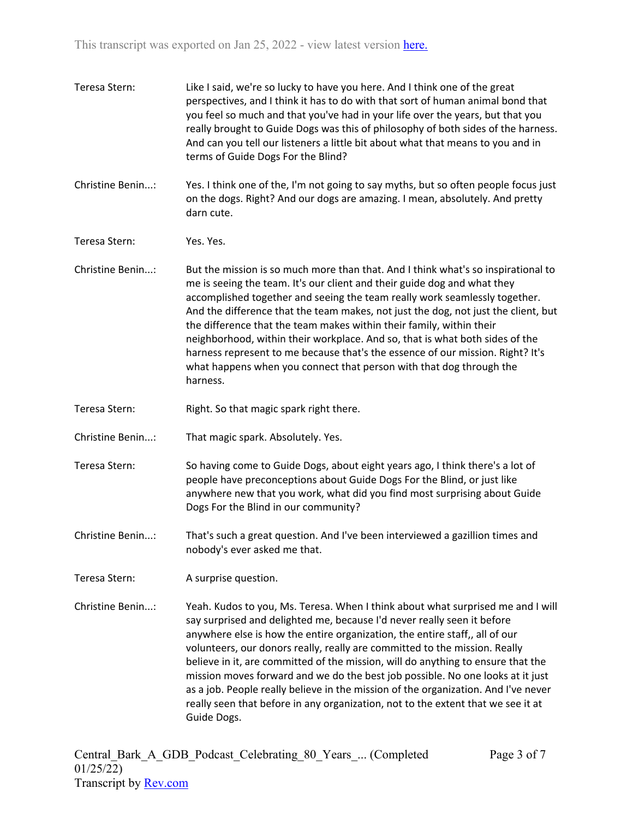| Teresa Stern:    | Like I said, we're so lucky to have you here. And I think one of the great<br>perspectives, and I think it has to do with that sort of human animal bond that<br>you feel so much and that you've had in your life over the years, but that you<br>really brought to Guide Dogs was this of philosophy of both sides of the harness.<br>And can you tell our listeners a little bit about what that means to you and in<br>terms of Guide Dogs For the Blind?                                                                                                                                                                                                                          |
|------------------|----------------------------------------------------------------------------------------------------------------------------------------------------------------------------------------------------------------------------------------------------------------------------------------------------------------------------------------------------------------------------------------------------------------------------------------------------------------------------------------------------------------------------------------------------------------------------------------------------------------------------------------------------------------------------------------|
| Christine Benin: | Yes. I think one of the, I'm not going to say myths, but so often people focus just<br>on the dogs. Right? And our dogs are amazing. I mean, absolutely. And pretty<br>darn cute.                                                                                                                                                                                                                                                                                                                                                                                                                                                                                                      |
| Teresa Stern:    | Yes. Yes.                                                                                                                                                                                                                                                                                                                                                                                                                                                                                                                                                                                                                                                                              |
| Christine Benin: | But the mission is so much more than that. And I think what's so inspirational to<br>me is seeing the team. It's our client and their guide dog and what they<br>accomplished together and seeing the team really work seamlessly together.<br>And the difference that the team makes, not just the dog, not just the client, but<br>the difference that the team makes within their family, within their<br>neighborhood, within their workplace. And so, that is what both sides of the<br>harness represent to me because that's the essence of our mission. Right? It's<br>what happens when you connect that person with that dog through the<br>harness.                         |
| Teresa Stern:    | Right. So that magic spark right there.                                                                                                                                                                                                                                                                                                                                                                                                                                                                                                                                                                                                                                                |
| Christine Benin: | That magic spark. Absolutely. Yes.                                                                                                                                                                                                                                                                                                                                                                                                                                                                                                                                                                                                                                                     |
| Teresa Stern:    | So having come to Guide Dogs, about eight years ago, I think there's a lot of<br>people have preconceptions about Guide Dogs For the Blind, or just like<br>anywhere new that you work, what did you find most surprising about Guide<br>Dogs For the Blind in our community?                                                                                                                                                                                                                                                                                                                                                                                                          |
| Christine Benin: | That's such a great question. And I've been interviewed a gazillion times and<br>nobody's ever asked me that.                                                                                                                                                                                                                                                                                                                                                                                                                                                                                                                                                                          |
| Teresa Stern:    | A surprise question.                                                                                                                                                                                                                                                                                                                                                                                                                                                                                                                                                                                                                                                                   |
| Christine Benin: | Yeah. Kudos to you, Ms. Teresa. When I think about what surprised me and I will<br>say surprised and delighted me, because I'd never really seen it before<br>anywhere else is how the entire organization, the entire staff,, all of our<br>volunteers, our donors really, really are committed to the mission. Really<br>believe in it, are committed of the mission, will do anything to ensure that the<br>mission moves forward and we do the best job possible. No one looks at it just<br>as a job. People really believe in the mission of the organization. And I've never<br>really seen that before in any organization, not to the extent that we see it at<br>Guide Dogs. |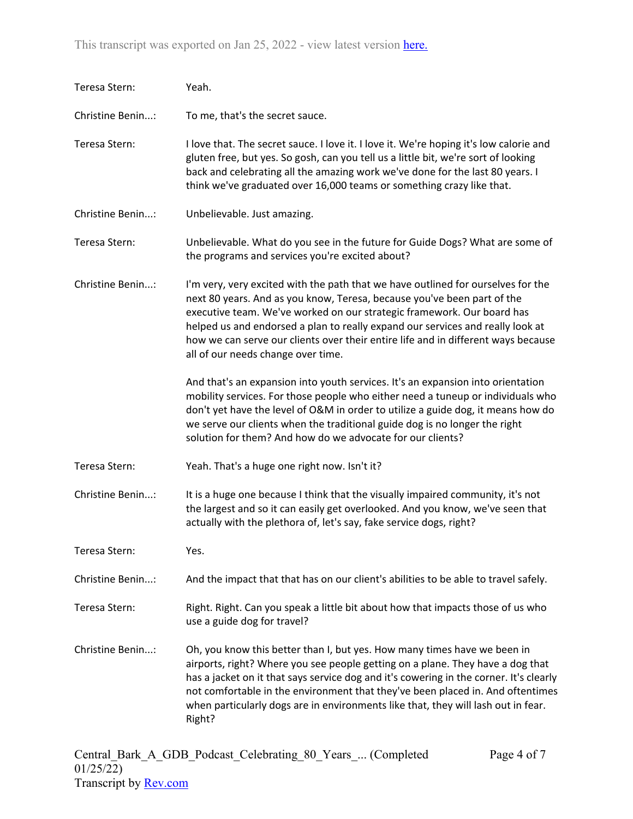| Teresa Stern:    | Yeah.                                                                                                                                                                                                                                                                                                                                                                                                                                              |
|------------------|----------------------------------------------------------------------------------------------------------------------------------------------------------------------------------------------------------------------------------------------------------------------------------------------------------------------------------------------------------------------------------------------------------------------------------------------------|
| Christine Benin: | To me, that's the secret sauce.                                                                                                                                                                                                                                                                                                                                                                                                                    |
| Teresa Stern:    | I love that. The secret sauce. I love it. I love it. We're hoping it's low calorie and<br>gluten free, but yes. So gosh, can you tell us a little bit, we're sort of looking<br>back and celebrating all the amazing work we've done for the last 80 years. I<br>think we've graduated over 16,000 teams or something crazy like that.                                                                                                             |
| Christine Benin: | Unbelievable. Just amazing.                                                                                                                                                                                                                                                                                                                                                                                                                        |
| Teresa Stern:    | Unbelievable. What do you see in the future for Guide Dogs? What are some of<br>the programs and services you're excited about?                                                                                                                                                                                                                                                                                                                    |
| Christine Benin: | I'm very, very excited with the path that we have outlined for ourselves for the<br>next 80 years. And as you know, Teresa, because you've been part of the<br>executive team. We've worked on our strategic framework. Our board has<br>helped us and endorsed a plan to really expand our services and really look at<br>how we can serve our clients over their entire life and in different ways because<br>all of our needs change over time. |
|                  | And that's an expansion into youth services. It's an expansion into orientation<br>mobility services. For those people who either need a tuneup or individuals who<br>don't yet have the level of O&M in order to utilize a guide dog, it means how do<br>we serve our clients when the traditional guide dog is no longer the right<br>solution for them? And how do we advocate for our clients?                                                 |
| Teresa Stern:    | Yeah. That's a huge one right now. Isn't it?                                                                                                                                                                                                                                                                                                                                                                                                       |
| Christine Benin: | It is a huge one because I think that the visually impaired community, it's not<br>the largest and so it can easily get overlooked. And you know, we've seen that<br>actually with the plethora of, let's say, fake service dogs, right?                                                                                                                                                                                                           |
| Teresa Stern:    | Yes.                                                                                                                                                                                                                                                                                                                                                                                                                                               |
| Christine Benin: | And the impact that that has on our client's abilities to be able to travel safely.                                                                                                                                                                                                                                                                                                                                                                |
| Teresa Stern:    | Right. Right. Can you speak a little bit about how that impacts those of us who<br>use a guide dog for travel?                                                                                                                                                                                                                                                                                                                                     |
| Christine Benin: | Oh, you know this better than I, but yes. How many times have we been in<br>airports, right? Where you see people getting on a plane. They have a dog that<br>has a jacket on it that says service dog and it's cowering in the corner. It's clearly<br>not comfortable in the environment that they've been placed in. And oftentimes<br>when particularly dogs are in environments like that, they will lash out in fear.<br>Right?              |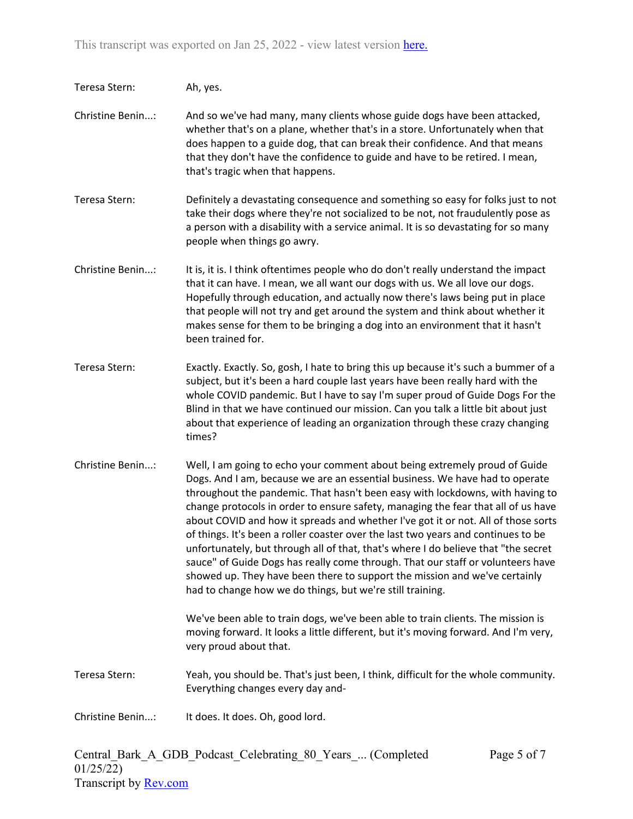| Teresa Stern:    | Ah, yes.                                                                                                                                                                                                                                                                                                                                                                                                                                                                                                                                                                                                                                                                                                                                                                                                                       |
|------------------|--------------------------------------------------------------------------------------------------------------------------------------------------------------------------------------------------------------------------------------------------------------------------------------------------------------------------------------------------------------------------------------------------------------------------------------------------------------------------------------------------------------------------------------------------------------------------------------------------------------------------------------------------------------------------------------------------------------------------------------------------------------------------------------------------------------------------------|
| Christine Benin: | And so we've had many, many clients whose guide dogs have been attacked,<br>whether that's on a plane, whether that's in a store. Unfortunately when that<br>does happen to a guide dog, that can break their confidence. And that means<br>that they don't have the confidence to guide and have to be retired. I mean,<br>that's tragic when that happens.                                                                                                                                                                                                                                                                                                                                                                                                                                                                   |
| Teresa Stern:    | Definitely a devastating consequence and something so easy for folks just to not<br>take their dogs where they're not socialized to be not, not fraudulently pose as<br>a person with a disability with a service animal. It is so devastating for so many<br>people when things go awry.                                                                                                                                                                                                                                                                                                                                                                                                                                                                                                                                      |
| Christine Benin: | It is, it is. I think oftentimes people who do don't really understand the impact<br>that it can have. I mean, we all want our dogs with us. We all love our dogs.<br>Hopefully through education, and actually now there's laws being put in place<br>that people will not try and get around the system and think about whether it<br>makes sense for them to be bringing a dog into an environment that it hasn't<br>been trained for.                                                                                                                                                                                                                                                                                                                                                                                      |
| Teresa Stern:    | Exactly. Exactly. So, gosh, I hate to bring this up because it's such a bummer of a<br>subject, but it's been a hard couple last years have been really hard with the<br>whole COVID pandemic. But I have to say I'm super proud of Guide Dogs For the<br>Blind in that we have continued our mission. Can you talk a little bit about just<br>about that experience of leading an organization through these crazy changing<br>times?                                                                                                                                                                                                                                                                                                                                                                                         |
| Christine Benin: | Well, I am going to echo your comment about being extremely proud of Guide<br>Dogs. And I am, because we are an essential business. We have had to operate<br>throughout the pandemic. That hasn't been easy with lockdowns, with having to<br>change protocols in order to ensure safety, managing the fear that all of us have<br>about COVID and how it spreads and whether I've got it or not. All of those sorts<br>of things. It's been a roller coaster over the last two years and continues to be<br>unfortunately, but through all of that, that's where I do believe that "the secret<br>sauce" of Guide Dogs has really come through. That our staff or volunteers have<br>showed up. They have been there to support the mission and we've certainly<br>had to change how we do things, but we're still training. |
|                  | We've been able to train dogs, we've been able to train clients. The mission is<br>moving forward. It looks a little different, but it's moving forward. And I'm very,<br>very proud about that.                                                                                                                                                                                                                                                                                                                                                                                                                                                                                                                                                                                                                               |
| Teresa Stern:    | Yeah, you should be. That's just been, I think, difficult for the whole community.<br>Everything changes every day and-                                                                                                                                                                                                                                                                                                                                                                                                                                                                                                                                                                                                                                                                                                        |
| Christine Benin: | It does. It does. Oh, good lord.                                                                                                                                                                                                                                                                                                                                                                                                                                                                                                                                                                                                                                                                                                                                                                                               |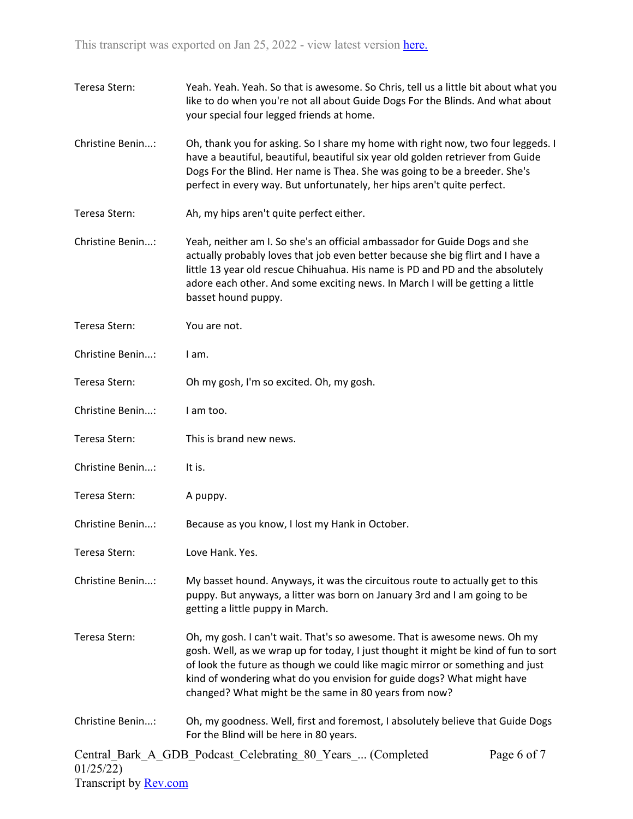| Teresa Stern:    | Yeah. Yeah. Yeah. So that is awesome. So Chris, tell us a little bit about what you<br>like to do when you're not all about Guide Dogs For the Blinds. And what about<br>your special four legged friends at home.                                                                                                                                                                   |
|------------------|--------------------------------------------------------------------------------------------------------------------------------------------------------------------------------------------------------------------------------------------------------------------------------------------------------------------------------------------------------------------------------------|
| Christine Benin: | Oh, thank you for asking. So I share my home with right now, two four leggeds. I<br>have a beautiful, beautiful, beautiful six year old golden retriever from Guide<br>Dogs For the Blind. Her name is Thea. She was going to be a breeder. She's<br>perfect in every way. But unfortunately, her hips aren't quite perfect.                                                         |
| Teresa Stern:    | Ah, my hips aren't quite perfect either.                                                                                                                                                                                                                                                                                                                                             |
| Christine Benin: | Yeah, neither am I. So she's an official ambassador for Guide Dogs and she<br>actually probably loves that job even better because she big flirt and I have a<br>little 13 year old rescue Chihuahua. His name is PD and PD and the absolutely<br>adore each other. And some exciting news. In March I will be getting a little<br>basset hound puppy.                               |
| Teresa Stern:    | You are not.                                                                                                                                                                                                                                                                                                                                                                         |
| Christine Benin: | I am.                                                                                                                                                                                                                                                                                                                                                                                |
| Teresa Stern:    | Oh my gosh, I'm so excited. Oh, my gosh.                                                                                                                                                                                                                                                                                                                                             |
| Christine Benin: | I am too.                                                                                                                                                                                                                                                                                                                                                                            |
| Teresa Stern:    | This is brand new news.                                                                                                                                                                                                                                                                                                                                                              |
| Christine Benin: | It is.                                                                                                                                                                                                                                                                                                                                                                               |
| Teresa Stern:    | A puppy.                                                                                                                                                                                                                                                                                                                                                                             |
| Christine Benin: | Because as you know, I lost my Hank in October.                                                                                                                                                                                                                                                                                                                                      |
| Teresa Stern:    | Love Hank. Yes.                                                                                                                                                                                                                                                                                                                                                                      |
| Christine Benin: | My basset hound. Anyways, it was the circuitous route to actually get to this<br>puppy. But anyways, a litter was born on January 3rd and I am going to be<br>getting a little puppy in March.                                                                                                                                                                                       |
| Teresa Stern:    | Oh, my gosh. I can't wait. That's so awesome. That is awesome news. Oh my<br>gosh. Well, as we wrap up for today, I just thought it might be kind of fun to sort<br>of look the future as though we could like magic mirror or something and just<br>kind of wondering what do you envision for guide dogs? What might have<br>changed? What might be the same in 80 years from now? |
| Christine Benin: | Oh, my goodness. Well, first and foremost, I absolutely believe that Guide Dogs<br>For the Blind will be here in 80 years.                                                                                                                                                                                                                                                           |
| 01/25/22)        | Central Bark A GDB Podcast Celebrating 80 Years  (Completed<br>Page 6 of 7                                                                                                                                                                                                                                                                                                           |